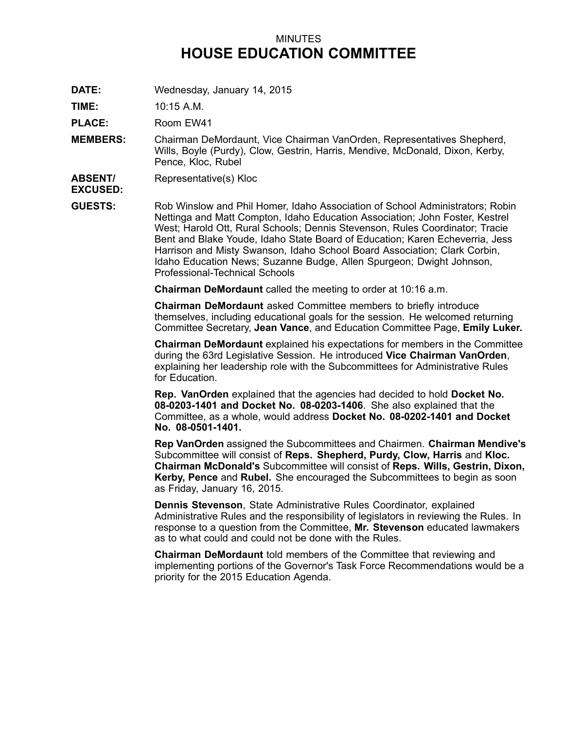## MINUTES **HOUSE EDUCATION COMMITTEE**

**DATE:** Wednesday, January 14, 2015

**TIME:** 10:15 A.M.

PLACE: Room EW41

- **MEMBERS:** Chairman DeMordaunt, Vice Chairman VanOrden, Representatives Shepherd, Wills, Boyle (Purdy), Clow, Gestrin, Harris, Mendive, McDonald, Dixon, Kerby, Pence, Kloc, Rubel
- **ABSENT/** Representative(s) Kloc

**EXCUSED:**

**GUESTS:** Rob Winslow and Phil Homer, Idaho Association of School Administrators; Robin Nettinga and Matt Compton, Idaho Education Association; John Foster, Kestrel West; Harold Ott, Rural Schools; Dennis Stevenson, Rules Coordinator; Tracie Bent and Blake Youde, Idaho State Board of Education; Karen Echeverria, Jess Harrison and Misty Swanson, Idaho School Board Association; Clark Corbin, Idaho Education News; Suzanne Budge, Allen Spurgeon; Dwight Johnson, Professional-Technical Schools

**Chairman DeMordaunt** called the meeting to order at 10:16 a.m.

**Chairman DeMordaunt** asked Committee members to briefly introduce themselves, including educational goals for the session. He welcomed returning Committee Secretary, **Jean Vance**, and Education Committee Page, **Emily Luker.**

**Chairman DeMordaunt** explained his expectations for members in the Committee during the 63rd Legislative Session. He introduced **Vice Chairman VanOrden**, explaining her leadership role with the Subcommittees for Administrative Rules for Education.

**Rep. VanOrden** explained that the agencies had decided to hold **Docket No. 08-0203-1401 and Docket No. 08-0203-1406**. She also explained that the Committee, as <sup>a</sup> whole, would address **Docket No. 08-0202-1401 and Docket No. 08-0501-1401.**

**Rep VanOrden** assigned the Subcommittees and Chairmen. **Chairman Mendive's** Subcommittee will consist of **Reps. Shepherd, Purdy, Clow, Harris** and **Kloc. Chairman McDonald's** Subcommittee will consist of **Reps. Wills, Gestrin, Dixon, Kerby, Pence** and **Rubel.** She encouraged the Subcommittees to begin as soon as Friday, January 16, 2015.

**Dennis Stevenson**, State Administrative Rules Coordinator, explained Administrative Rules and the responsibility of legislators in reviewing the Rules. In response to <sup>a</sup> question from the Committee, **Mr. Stevenson** educated lawmakers as to what could and could not be done with the Rules.

**Chairman DeMordaunt** told members of the Committee that reviewing and implementing portions of the Governor's Task Force Recommendations would be <sup>a</sup> priority for the 2015 Education Agenda.